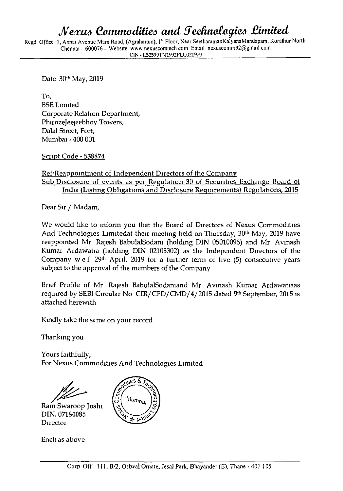## *JVexus Commodities and 5eefinoiogies limited*

Regd Office **1**, Annai Avenue Mam Road, (Agraharam), **1** Floor, Near SeetharamanKalyanaMandapam, Korathur North Chennai - 600076 - Website www nexuscomtech com Email nexuscomm92@gmail com **CIN - L52599TN1992PLCa21979** 

Date 30th May, 2019

To, BSE Limited Corporate Relation Department, Phirozejeejeebhoy Towers, Dalai Street, Fort, Mumbai - 400 001

Script Code-538874

## Ref'Reappointment of Independent Directors of the Company Sub Disclosure of events as per Regulation 30 of Securities Exchange Board of India (Listing Obligations and Disclosure Requirements) Regulations, 2015

Dear Sir / Madam,

We would like to inform you that the Board of Directors of Nexus Commodities And Technologies Limitedat their meeting held on Thursday, 30<sup>th</sup> May, 2019 have reappointed Mr Rajesh BabulalSodani (holding DIN 05010096) and Mr Avinash Kumar Ardawatia (holding DIN 02108302) as the Independent Directors of the Company w e  $f$  29<sup>th</sup> April, 2019 for a further term of five (5) consecutive years subject to the approval of the members of the Company

Brief Profile of Mr Rajesh BabulalSodaniand Mr Avinash Kumar Ardawatiaas required by SEBI Circular No CIR/CFD/CMD/4/2015 dated 9th September, 2015 is attached herewith

Kindly take the same on your record

Thanking you

Yours faithfully, For Nexus Commodities And Technologies Limited

**Ram** Swaroop Joshi DIN. 07184085 Director



Encl: as above